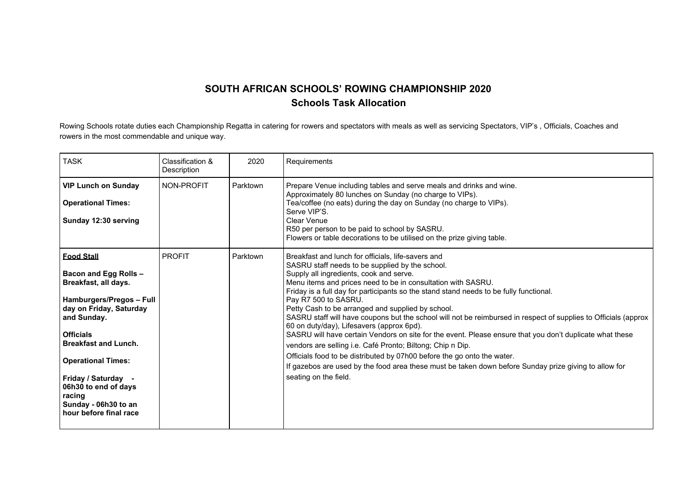## **SOUTH AFRICAN SCHOOLS' ROWING CHAMPIONSHIP 2020 Schools Task Allocation**

Rowing Schools rotate duties each Championship Regatta in catering for rowers and spectators with meals as well as servicing Spectators, VIP's , Officials, Coaches and rowers in the most commendable and unique way.

| <b>TASK</b>                                                                                                                                                                                                                                                                                                                                | Classification &<br>Description | 2020     | Requirements                                                                                                                                                                                                                                                                                                                                                                                                                                                                                                                                                                                                                                                                                                                                                                                                                                                                                                                                   |
|--------------------------------------------------------------------------------------------------------------------------------------------------------------------------------------------------------------------------------------------------------------------------------------------------------------------------------------------|---------------------------------|----------|------------------------------------------------------------------------------------------------------------------------------------------------------------------------------------------------------------------------------------------------------------------------------------------------------------------------------------------------------------------------------------------------------------------------------------------------------------------------------------------------------------------------------------------------------------------------------------------------------------------------------------------------------------------------------------------------------------------------------------------------------------------------------------------------------------------------------------------------------------------------------------------------------------------------------------------------|
| <b>VIP Lunch on Sunday</b><br><b>Operational Times:</b><br>Sunday 12:30 serving                                                                                                                                                                                                                                                            | NON-PROFIT                      | Parktown | Prepare Venue including tables and serve meals and drinks and wine.<br>Approximately 80 lunches on Sunday (no charge to VIPs).<br>Tea/coffee (no eats) during the day on Sunday (no charge to VIPs).<br>Serve VIP'S.<br>Clear Venue<br>R50 per person to be paid to school by SASRU.<br>Flowers or table decorations to be utilised on the prize giving table.                                                                                                                                                                                                                                                                                                                                                                                                                                                                                                                                                                                 |
| <b>Food Stall</b><br><b>Bacon and Egg Rolls -</b><br>Breakfast, all days.<br>Hamburgers/Pregos - Full<br>day on Friday, Saturday<br>and Sunday.<br><b>Officials</b><br><b>Breakfast and Lunch.</b><br><b>Operational Times:</b><br>Friday / Saturday -<br>06h30 to end of days<br>racing<br>Sunday - 06h30 to an<br>hour before final race | <b>PROFIT</b>                   | Parktown | Breakfast and lunch for officials, life-savers and<br>SASRU staff needs to be supplied by the school.<br>Supply all ingredients, cook and serve.<br>Menu items and prices need to be in consultation with SASRU.<br>Friday is a full day for participants so the stand stand needs to be fully functional.<br>Pay R7 500 to SASRU.<br>Petty Cash to be arranged and supplied by school.<br>SASRU staff will have coupons but the school will not be reimbursed in respect of supplies to Officials (approx<br>60 on duty/day), Lifesavers (approx 6pd).<br>SASRU will have certain Vendors on site for the event. Please ensure that you don't duplicate what these<br>vendors are selling i.e. Café Pronto; Biltong; Chip n Dip.<br>Officials food to be distributed by 07h00 before the go onto the water.<br>If gazebos are used by the food area these must be taken down before Sunday prize giving to allow for<br>seating on the field. |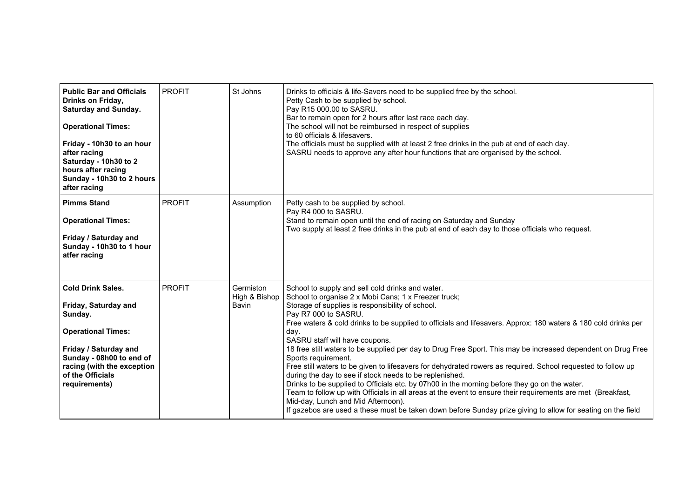| <b>Public Bar and Officials</b><br>Drinks on Friday,<br><b>Saturday and Sunday.</b><br><b>Operational Times:</b><br>Friday - 10h30 to an hour<br>after racing<br>Saturday - 10h30 to 2<br>hours after racing<br>Sunday - 10h30 to 2 hours<br>after racing | <b>PROFIT</b> | St Johns                            | Drinks to officials & life-Savers need to be supplied free by the school.<br>Petty Cash to be supplied by school.<br>Pay R15 000.00 to SASRU.<br>Bar to remain open for 2 hours after last race each day.<br>The school will not be reimbursed in respect of supplies<br>to 60 officials & lifesavers.<br>The officials must be supplied with at least 2 free drinks in the pub at end of each day.<br>SASRU needs to approve any after hour functions that are organised by the school.                                                                                                                                                                                                                                                                                                                                                                                                                                                                                                                                               |
|-----------------------------------------------------------------------------------------------------------------------------------------------------------------------------------------------------------------------------------------------------------|---------------|-------------------------------------|----------------------------------------------------------------------------------------------------------------------------------------------------------------------------------------------------------------------------------------------------------------------------------------------------------------------------------------------------------------------------------------------------------------------------------------------------------------------------------------------------------------------------------------------------------------------------------------------------------------------------------------------------------------------------------------------------------------------------------------------------------------------------------------------------------------------------------------------------------------------------------------------------------------------------------------------------------------------------------------------------------------------------------------|
| <b>Pimms Stand</b><br><b>Operational Times:</b><br>Friday / Saturday and<br>Sunday - 10h30 to 1 hour<br>atfer racing                                                                                                                                      | <b>PROFIT</b> | Assumption                          | Petty cash to be supplied by school.<br>Pay R4 000 to SASRU.<br>Stand to remain open until the end of racing on Saturday and Sunday<br>Two supply at least 2 free drinks in the pub at end of each day to those officials who request.                                                                                                                                                                                                                                                                                                                                                                                                                                                                                                                                                                                                                                                                                                                                                                                                 |
| <b>Cold Drink Sales.</b><br>Friday, Saturday and<br>Sunday.<br><b>Operational Times:</b><br>Friday / Saturday and<br>Sunday - 08h00 to end of<br>racing (with the exception<br>of the Officials<br>requirements)                                          | <b>PROFIT</b> | Germiston<br>High & Bishop<br>Bavin | School to supply and sell cold drinks and water.<br>School to organise 2 x Mobi Cans; 1 x Freezer truck;<br>Storage of supplies is responsibility of school.<br>Pay R7 000 to SASRU.<br>Free waters & cold drinks to be supplied to officials and lifesavers. Approx: 180 waters & 180 cold drinks per<br>day.<br>SASRU staff will have coupons.<br>18 free still waters to be supplied per day to Drug Free Sport. This may be increased dependent on Drug Free<br>Sports requirement.<br>Free still waters to be given to lifesavers for dehydrated rowers as required. School requested to follow up<br>during the day to see if stock needs to be replenished.<br>Drinks to be supplied to Officials etc. by 07h00 in the morning before they go on the water.<br>Team to follow up with Officials in all areas at the event to ensure their requirements are met (Breakfast,<br>Mid-day, Lunch and Mid Afternoon).<br>If gazebos are used a these must be taken down before Sunday prize giving to allow for seating on the field |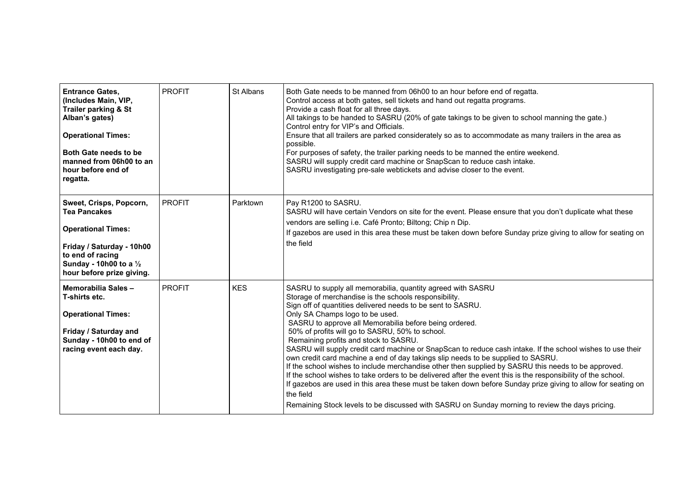| <b>Entrance Gates,</b><br>(Includes Main, VIP,<br>Trailer parking & St<br>Alban's gates)<br><b>Operational Times:</b><br>Both Gate needs to be<br>manned from 06h00 to an<br>hour before end of<br>regatta. | <b>PROFIT</b> | St Albans  | Both Gate needs to be manned from 06h00 to an hour before end of regatta.<br>Control access at both gates, sell tickets and hand out regatta programs.<br>Provide a cash float for all three days.<br>All takings to be handed to SASRU (20% of gate takings to be given to school manning the gate.)<br>Control entry for VIP's and Officials.<br>Ensure that all trailers are parked considerately so as to accommodate as many trailers in the area as<br>possible.<br>For purposes of safety, the trailer parking needs to be manned the entire weekend.<br>SASRU will supply credit card machine or SnapScan to reduce cash intake.<br>SASRU investigating pre-sale webtickets and advise closer to the event.                                                                                                                                                                                                                                                                                                                    |
|-------------------------------------------------------------------------------------------------------------------------------------------------------------------------------------------------------------|---------------|------------|----------------------------------------------------------------------------------------------------------------------------------------------------------------------------------------------------------------------------------------------------------------------------------------------------------------------------------------------------------------------------------------------------------------------------------------------------------------------------------------------------------------------------------------------------------------------------------------------------------------------------------------------------------------------------------------------------------------------------------------------------------------------------------------------------------------------------------------------------------------------------------------------------------------------------------------------------------------------------------------------------------------------------------------|
| Sweet, Crisps, Popcorn,<br><b>Tea Pancakes</b><br><b>Operational Times:</b><br>Friday / Saturday - 10h00<br>to end of racing<br>Sunday - 10h00 to a $\frac{1}{2}$<br>hour before prize giving.              | <b>PROFIT</b> | Parktown   | Pay R1200 to SASRU.<br>SASRU will have certain Vendors on site for the event. Please ensure that you don't duplicate what these<br>vendors are selling i.e. Café Pronto; Biltong; Chip n Dip.<br>If gazebos are used in this area these must be taken down before Sunday prize giving to allow for seating on<br>the field                                                                                                                                                                                                                                                                                                                                                                                                                                                                                                                                                                                                                                                                                                             |
| Memorabilia Sales-<br>T-shirts etc.<br><b>Operational Times:</b><br>Friday / Saturday and<br>Sunday - 10h00 to end of<br>racing event each day.                                                             | <b>PROFIT</b> | <b>KES</b> | SASRU to supply all memorabilia, quantity agreed with SASRU<br>Storage of merchandise is the schools responsibility.<br>Sign off of quantities delivered needs to be sent to SASRU.<br>Only SA Champs logo to be used.<br>SASRU to approve all Memorabilia before being ordered.<br>50% of profits will go to SASRU, 50% to school.<br>Remaining profits and stock to SASRU.<br>SASRU will supply credit card machine or SnapScan to reduce cash intake. If the school wishes to use their<br>own credit card machine a end of day takings slip needs to be supplied to SASRU.<br>If the school wishes to include merchandise other then supplied by SASRU this needs to be approved.<br>If the school wishes to take orders to be delivered after the event this is the responsibility of the school.<br>If gazebos are used in this area these must be taken down before Sunday prize giving to allow for seating on<br>the field<br>Remaining Stock levels to be discussed with SASRU on Sunday morning to review the days pricing. |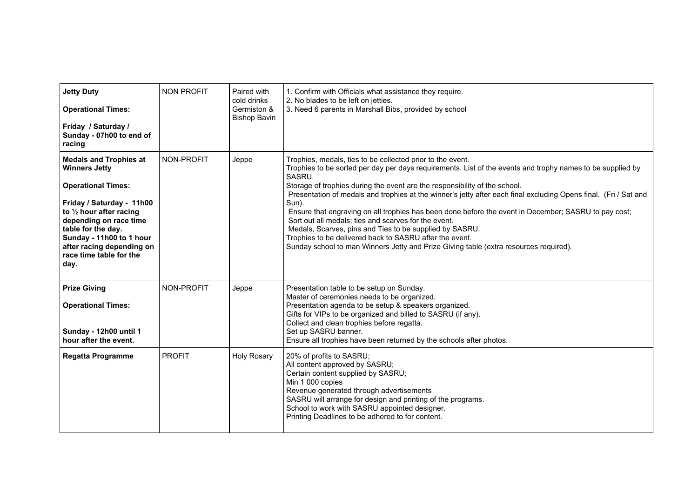| <b>Jetty Duty</b><br><b>Operational Times:</b><br>Friday / Saturday /<br>Sunday - 07h00 to end of<br>racing                                                                                                                                                                             | <b>NON PROFIT</b> | Paired with<br>cold drinks<br>Germiston &<br><b>Bishop Bavin</b> | 1. Confirm with Officials what assistance they require.<br>2. No blades to be left on jetties.<br>3. Need 6 parents in Marshall Bibs, provided by school                                                                                                                                                                                                                                                                                                                                                                                                                                                                                                                                                                                                                     |
|-----------------------------------------------------------------------------------------------------------------------------------------------------------------------------------------------------------------------------------------------------------------------------------------|-------------------|------------------------------------------------------------------|------------------------------------------------------------------------------------------------------------------------------------------------------------------------------------------------------------------------------------------------------------------------------------------------------------------------------------------------------------------------------------------------------------------------------------------------------------------------------------------------------------------------------------------------------------------------------------------------------------------------------------------------------------------------------------------------------------------------------------------------------------------------------|
| <b>Medals and Trophies at</b><br><b>Winners Jetty</b><br><b>Operational Times:</b><br>Friday / Saturday - 11h00<br>to 1/2 hour after racing<br>depending on race time<br>table for the day.<br>Sunday - 11h00 to 1 hour<br>after racing depending on<br>race time table for the<br>day. | NON-PROFIT        | Jeppe                                                            | Trophies, medals, ties to be collected prior to the event.<br>Trophies to be sorted per day per days requirements. List of the events and trophy names to be supplied by<br>SASRU.<br>Storage of trophies during the event are the responsibility of the school.<br>Presentation of medals and trophies at the winner's jetty after each final excluding Opens final. (Fri / Sat and<br>Sun).<br>Ensure that engraving on all trophies has been done before the event in December; SASRU to pay cost;<br>Sort out all medals; ties and scarves for the event.<br>Medals, Scarves, pins and Ties to be supplied by SASRU.<br>Trophies to be delivered back to SASRU after the event.<br>Sunday school to man Winners Jetty and Prize Giving table (extra resources required). |
| <b>Prize Giving</b><br><b>Operational Times:</b><br>Sunday - 12h00 until 1<br>hour after the event.                                                                                                                                                                                     | NON-PROFIT        | Jeppe                                                            | Presentation table to be setup on Sunday.<br>Master of ceremonies needs to be organized.<br>Presentation agenda to be setup & speakers organized.<br>Gifts for VIPs to be organized and billed to SASRU (if any).<br>Collect and clean trophies before regatta.<br>Set up SASRU banner.<br>Ensure all trophies have been returned by the schools after photos.                                                                                                                                                                                                                                                                                                                                                                                                               |
| <b>Regatta Programme</b>                                                                                                                                                                                                                                                                | <b>PROFIT</b>     | <b>Holy Rosary</b>                                               | 20% of profits to SASRU;<br>All content approved by SASRU;<br>Certain content supplied by SASRU;<br>Min 1 000 copies<br>Revenue generated through advertisements<br>SASRU will arrange for design and printing of the programs.<br>School to work with SASRU appointed designer.<br>Printing Deadlines to be adhered to for content.                                                                                                                                                                                                                                                                                                                                                                                                                                         |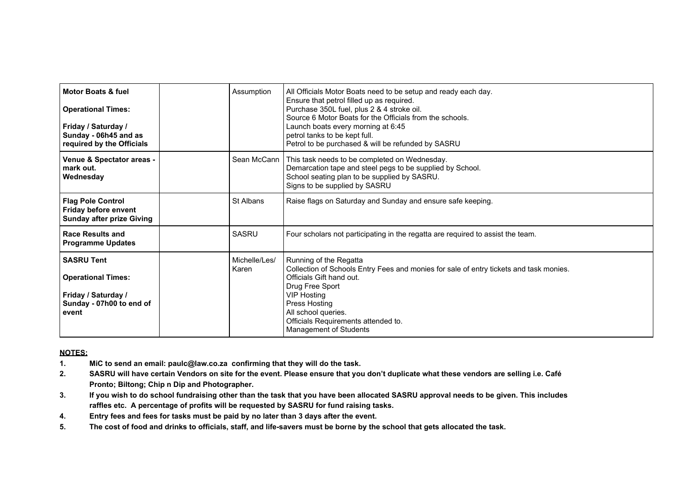| Motor Boats & fuel<br><b>Operational Times:</b><br>Friday / Saturday /<br>Sunday - 06h45 and as<br>required by the Officials | Assumption             | All Officials Motor Boats need to be setup and ready each day.<br>Ensure that petrol filled up as required.<br>Purchase 350L fuel, plus 2 & 4 stroke oil.<br>Source 6 Motor Boats for the Officials from the schools.<br>Launch boats every morning at 6:45<br>petrol tanks to be kept full.<br>Petrol to be purchased & will be refunded by SASRU |
|------------------------------------------------------------------------------------------------------------------------------|------------------------|----------------------------------------------------------------------------------------------------------------------------------------------------------------------------------------------------------------------------------------------------------------------------------------------------------------------------------------------------|
| Venue & Spectator areas -<br>mark out.<br>Wednesday                                                                          | Sean McCann            | This task needs to be completed on Wednesday.<br>Demarcation tape and steel pegs to be supplied by School.<br>School seating plan to be supplied by SASRU.<br>Signs to be supplied by SASRU                                                                                                                                                        |
| <b>Flag Pole Control</b><br><b>Friday before envent</b><br><b>Sunday after prize Giving</b>                                  | St Albans              | Raise flags on Saturday and Sunday and ensure safe keeping.                                                                                                                                                                                                                                                                                        |
| <b>Race Results and</b><br><b>Programme Updates</b>                                                                          | SASRU                  | Four scholars not participating in the regatta are required to assist the team.                                                                                                                                                                                                                                                                    |
| <b>SASRU Tent</b><br><b>Operational Times:</b><br>Friday / Saturday /<br>Sunday - 07h00 to end of<br>event                   | Michelle/Les/<br>Karen | Running of the Regatta<br>Collection of Schools Entry Fees and monies for sale of entry tickets and task monies.<br>Officials Gift hand out.<br>Drug Free Sport<br><b>VIP Hosting</b><br>Press Hosting<br>All school queries.<br>Officials Requirements attended to.<br>Management of Students                                                     |

## **NOTES:**

- **1. MiC to send an email: paulc@law.co.za confirming that they will do the task.**
- **2. SASRU will have certain Vendors on site for the event. Please ensure that you don't duplicate what these vendors are selling i.e. Café Pronto; Biltong; Chip n Dip and Photographer.**
- **3. If you wish to do school fundraising other than the task that you have been allocated SASRU approval needs to be given. This includes raffles etc. A percentage of profits will be requested by SASRU for fund raising tasks.**
- **4. Entry fees and fees for tasks must be paid by no later than 3 days after the event.**
- **5. The cost of food and drinks to officials, staff, and life-savers must be borne by the school that gets allocated the task.**